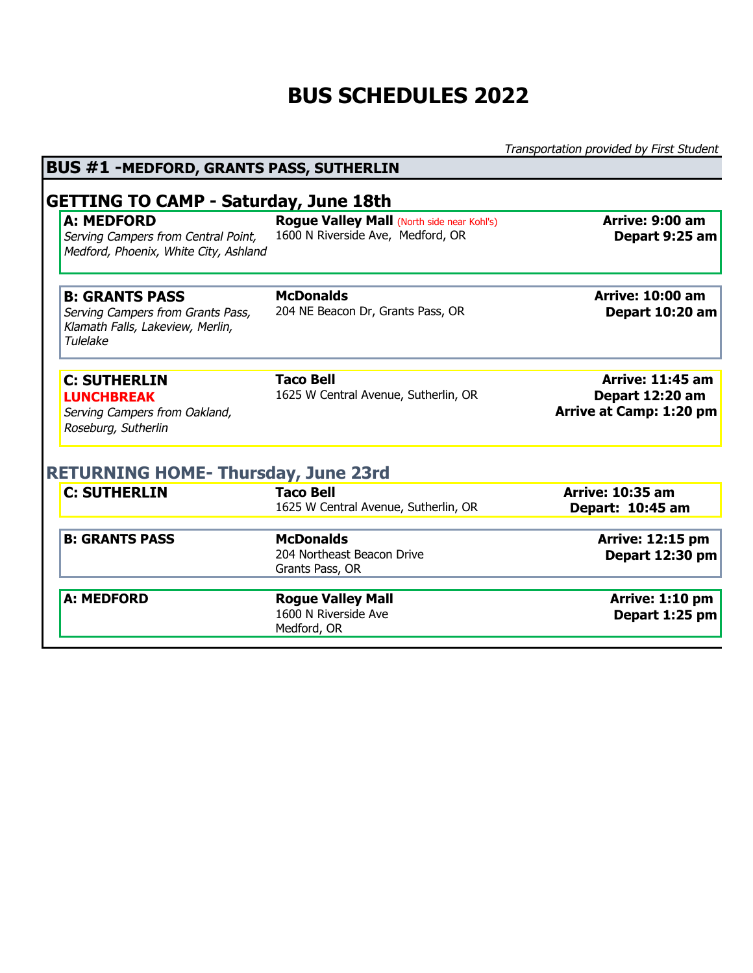# **BUS SCHEDULES 2022**

Transportation provided by First Student

#### **BUS #1 -MEDFORD, GRANTS PASS, SUTHERLIN**

#### **GETTING TO CAMP - Saturday, June 18th A: MEDFORD** Serving Campers from Central Point, Medford, Phoenix, White City, Ashland **Rogue Valley Mall (North side near Kohl's)** 1600 N Riverside Ave, Medford, OR **Arrive: 9:00 am Depart 9:25 am B: GRANTS PASS**  Serving Campers from Grants Pass, Klamath Falls, Lakeview, Merlin, Tulelake **McDonalds**  204 NE Beacon Dr, Grants Pass, OR **Arrive: 10:00 am Depart 10:20 am C: SUTHERLIN LUNCHBREAK**  Serving Campers from Oakland, Roseburg, Sutherlin **Taco Bell** 1625 W Central Avenue, Sutherlin, OR **Arrive: 11:45 am Depart 12:20 am Arrive at Camp: 1:20 pm RETURNING HOME- Thursday, June 23rd C: SUTHERLIN Taco Bell** 1625 W Central Avenue, Sutherlin, OR **Arrive: 10:35 am Depart: 10:45 am B: GRANTS PASS McDonalds** 204 Northeast Beacon Drive Grants Pass, OR **Arrive: 12:15 pm Depart 12:30 pm A: MEDFORD Rogue Valley Mall** 1600 N Riverside Ave **Arrive: 1:10 pm Depart 1:25 pm**

Medford, OR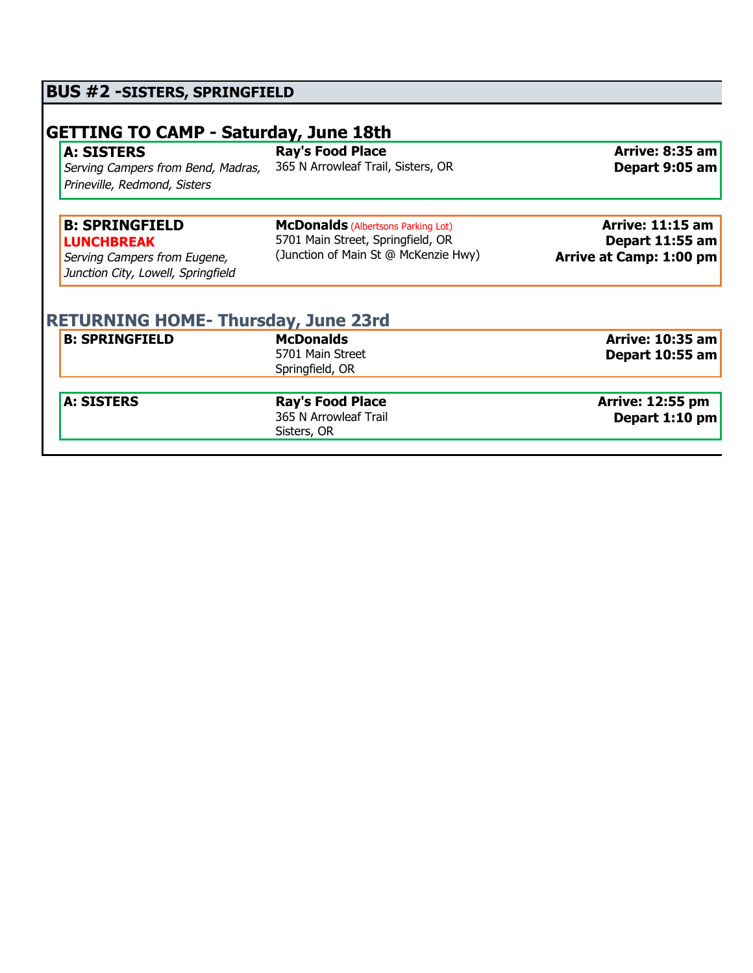| <b>BUS #2 -SISTERS, SPRINGFIELD</b><br><b>GETTING TO CAMP - Saturday, June 18th</b>                              |                                                                                                                        |                                                                       |
|------------------------------------------------------------------------------------------------------------------|------------------------------------------------------------------------------------------------------------------------|-----------------------------------------------------------------------|
| <b>A: SISTERS</b><br>Serving Campers from Bend, Madras,<br>Prineville, Redmond, Sisters                          | <b>Ray's Food Place</b><br>365 N Arrowleaf Trail, Sisters, OR                                                          | <b>Arrive: 8:35 am</b><br>Depart 9:05 am                              |
| <b>B: SPRINGFIELD</b><br><b>LUNCHBREAK</b><br>Serving Campers from Eugene,<br>Junction City, Lowell, Springfield | <b>McDonalds (Albertsons Parking Lot)</b><br>5701 Main Street, Springfield, OR<br>(Junction of Main St @ McKenzie Hwy) | <b>Arrive: 11:15 am</b><br>Depart 11:55 am<br>Arrive at Camp: 1:00 pm |
| <b>RETURNING HOME- Thursday, June 23rd</b>                                                                       |                                                                                                                        |                                                                       |
| <b>B: SPRINGFIELD</b>                                                                                            | <b>McDonalds</b><br>5701 Main Street<br>Springfield, OR                                                                | <b>Arrive: 10:35 am</b><br>Depart 10:55 am                            |
| <b>A: SISTERS</b>                                                                                                | <b>Ray's Food Place</b><br>365 N Arrowleaf Trail<br>Sisters, OR                                                        | <b>Arrive: 12:55 pm</b><br>Depart 1:10 pm                             |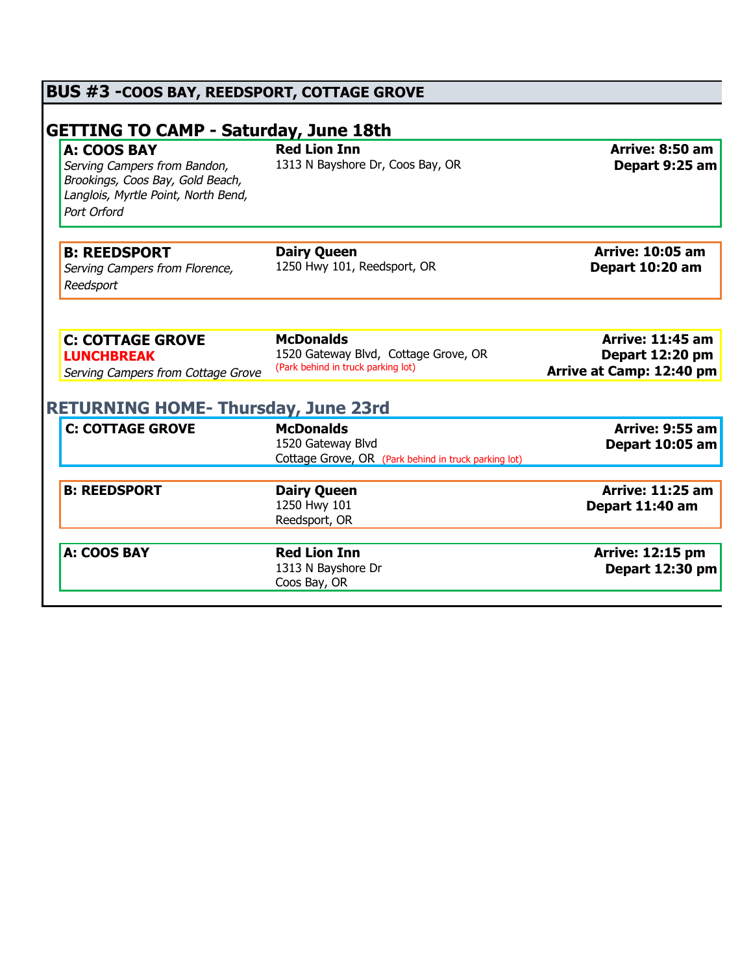| A: COOS BAY<br>Serving Campers from Bandon,<br>Brookings, Coos Bay, Gold Beach,    | <b>Red Lion Inn</b><br>1313 N Bayshore Dr, Coos Bay, OR                                        | <b>Arrive: 8:50 am</b><br>Depart 9:25 am                               |
|------------------------------------------------------------------------------------|------------------------------------------------------------------------------------------------|------------------------------------------------------------------------|
| Langlois, Myrtle Point, North Bend,<br>Port Orford                                 |                                                                                                |                                                                        |
| <b>B: REEDSPORT</b><br>Serving Campers from Florence,<br>Reedsport                 | <b>Dairy Queen</b><br>1250 Hwy 101, Reedsport, OR                                              | <b>Arrive: 10:05 am</b><br>Depart 10:20 am                             |
| <b>C: COTTAGE GROVE</b><br><b>LUNCHBREAK</b><br>Serving Campers from Cottage Grove | <b>McDonalds</b><br>1520 Gateway Blvd, Cottage Grove, OR<br>(Park behind in truck parking lot) | <b>Arrive: 11:45 am</b><br>Depart 12:20 pm<br>Arrive at Camp: 12:40 pm |
| <b>RETURNING HOME- Thursday, June 23rd</b>                                         |                                                                                                |                                                                        |
| <b>C: COTTAGE GROVE</b>                                                            | <b>McDonalds</b><br>1520 Gateway Blvd<br>Cottage Grove, OR (Park behind in truck parking lot)  | <b>Arrive: 9:55 am</b><br>Depart 10:05 am                              |
| <b>B: REEDSPORT</b>                                                                | <b>Dairy Queen</b><br>1250 Hwy 101<br>Reedsport, OR                                            | <b>Arrive: 11:25 am</b><br>Depart 11:40 am                             |
| A: COOS BAY                                                                        | <b>Red Lion Inn</b><br>1313 N Bayshore Dr                                                      | <b>Arrive: 12:15 pm</b><br>Depart 12:30 pm                             |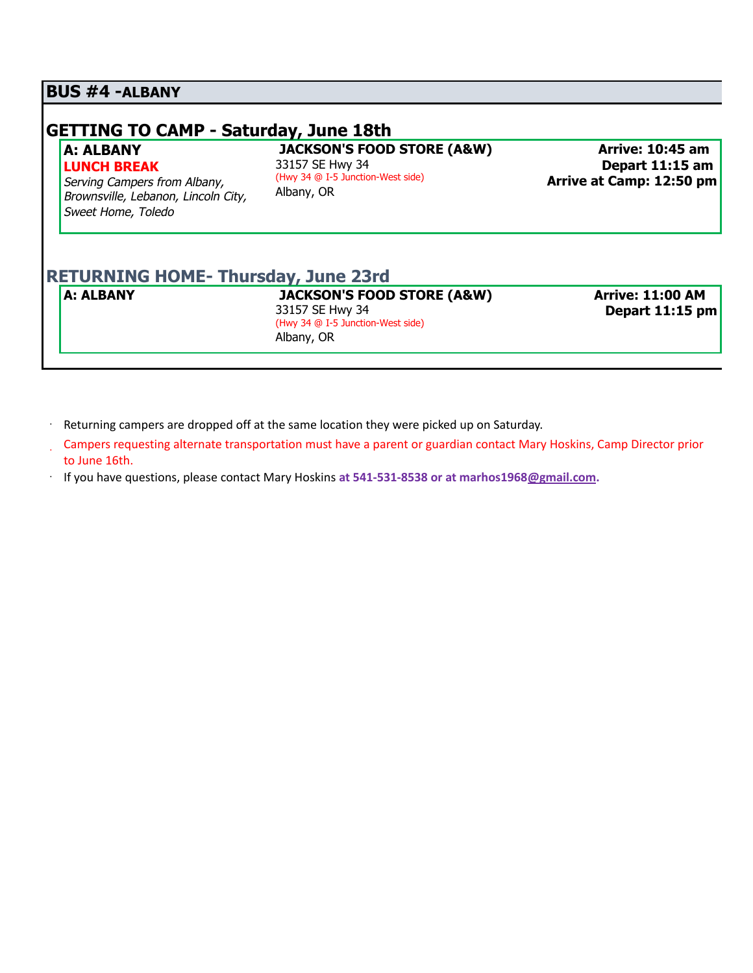#### **BUS #4 -ALBANY**

# **GETTING TO CAMP - Saturday, June 18th**

## **A: ALBANY**

### **LUNCH BREAK**

Serving Campers from Albany, Brownsville, Lebanon, Lincoln City, Sweet Home, Toledo

 **JACKSON'S FOOD STORE (A&W)** 33157 SE Hwy 34 (Hwy 34 @ I-5 Junction-West side) Albany, OR

**Arrive: 10:45 am Depart 11:15 am Arrive at Camp: 12:50 pm**

# **RETURNING HOME- Thursday, June 23rd**

**A: ALBANY JACKSON'S FOOD STORE (A&W)** 33157 SE Hwy 34 (Hwy 34 @ I-5 Junction-West side) Albany, OR

**Arrive: 11:00 AM Depart 11:15 pm**

- Returning campers are dropped off at the same location they were picked up on Saturday.
- · Campers requesting alternate transportation must have a parent or guardian contact Mary Hoskins, Camp Director prior to June 16th.
- · If you have questions, please contact Mary Hoskins **at 541-531-8538 or at marhos1968@gmail.com.**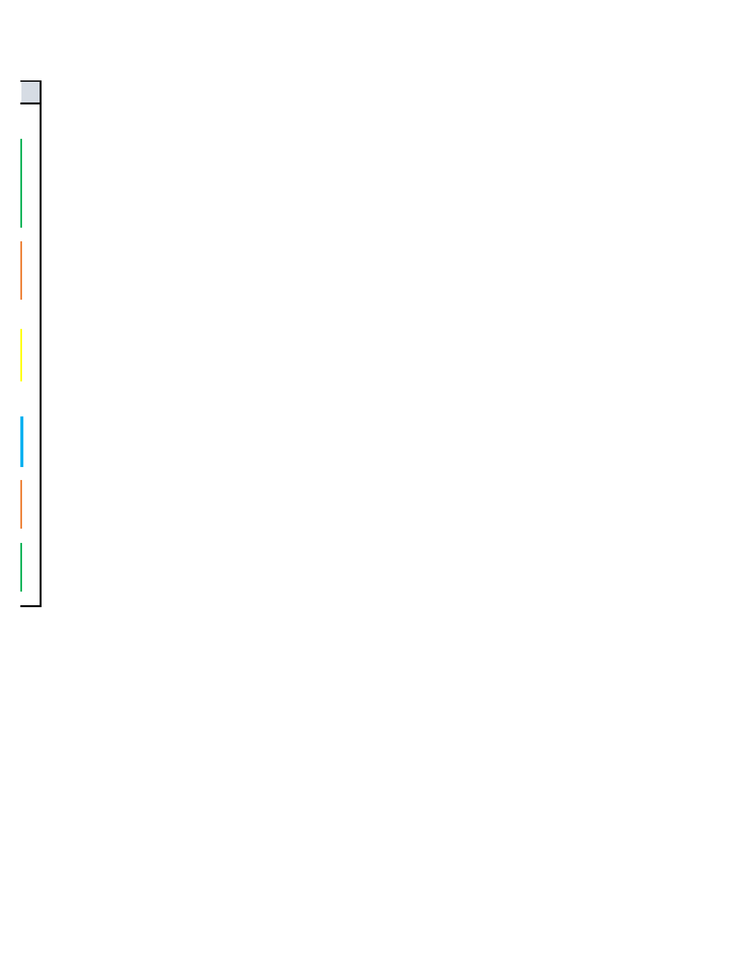$\begin{array}{c} \begin{array}{c} \begin{array}{c} \end{array} \\ \begin{array}{c} \end{array} \end{array} \end{array}$